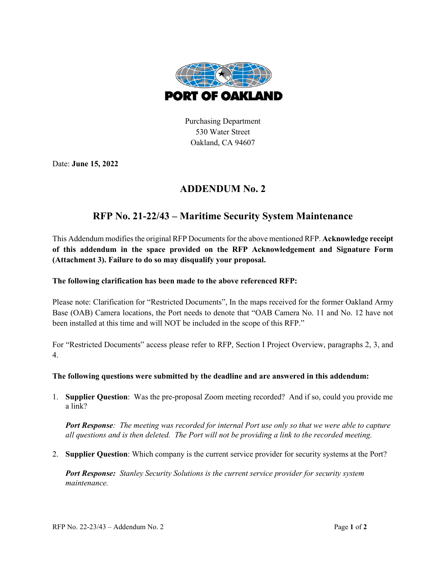

Purchasing Department 530 Water Street Oakland, CA 94607

Date: **June 15, 2022**

## **ADDENDUM No. 2**

## **RFP No. 21-22/43 – Maritime Security System Maintenance**

This Addendum modifies the original RFP Documents for the above mentioned RFP. **Acknowledge receipt of this addendum in the space provided on the RFP Acknowledgement and Signature Form (Attachment 3). Failure to do so may disqualify your proposal.**

## **The following clarification has been made to the above referenced RFP:**

Please note: Clarification for "Restricted Documents", In the maps received for the former Oakland Army Base (OAB) Camera locations, the Port needs to denote that "OAB Camera No. 11 and No. 12 have not been installed at this time and will NOT be included in the scope of this RFP."

For "Restricted Documents" access please refer to RFP, Section I Project Overview, paragraphs 2, 3, and 4.

## **The following questions were submitted by the deadline and are answered in this addendum:**

1. **Supplier Question**: Was the pre-proposal Zoom meeting recorded? And if so, could you provide me a link?

*Port Response: The meeting was recorded for internal Port use only so that we were able to capture all questions and is then deleted. The Port will not be providing a link to the recorded meeting.*

2. **Supplier Question**: Which company is the current service provider for security systems at the Port?

*Port Response: Stanley Security Solutions is the current service provider for security system maintenance.*